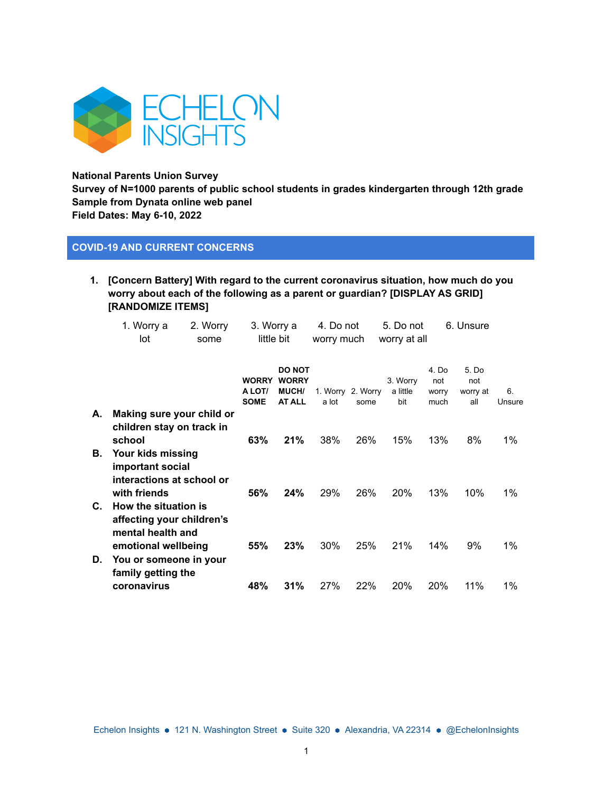

**National Parents Union Survey Survey of N=1000 parents of public school students in grades kindergarten through 12th grade Sample from Dynata online web panel Field Dates: May 6-10, 2022**

## **COVID-19 AND CURRENT CONCERNS**

**1. [Concern Battery] With regard to the current coronavirus situation, how much do you worry about each of the following as a parent or guardian? [DISPLAY AS GRID] [RANDOMIZE ITEMS]**

|    | 1. Worry a<br>lot                                                                  | 2. Worry<br>some | 3. Worry a<br>little bit              |                                                                | 4. Do not<br>worry much |                           | 5. Do not<br>worry at all   |                               | 6. Unsure                       |              |
|----|------------------------------------------------------------------------------------|------------------|---------------------------------------|----------------------------------------------------------------|-------------------------|---------------------------|-----------------------------|-------------------------------|---------------------------------|--------------|
|    |                                                                                    |                  | <b>WORRY</b><br>A LOT/<br><b>SOME</b> | <b>DO NOT</b><br><b>WORRY</b><br><b>MUCH/</b><br><b>AT ALL</b> | a lot                   | 1. Worry 2. Worry<br>some | 3. Worry<br>a little<br>bit | 4. Do<br>not<br>worry<br>much | 5. Do<br>not<br>worry at<br>all | 6.<br>Unsure |
| А. | Making sure your child or<br>children stay on track in<br>school                   |                  | 63%                                   | 21%                                                            | 38%                     | 26%                       | 15%                         | 13%                           | 8%                              | 1%           |
| В. | Your kids missing<br>important social<br>interactions at school or<br>with friends |                  | 56%                                   | 24%                                                            | 29%                     | 26%                       | 20%                         | 13%                           | 10%                             | 1%           |
| C. | How the situation is<br>affecting your children's<br>mental health and             |                  |                                       |                                                                |                         |                           |                             |                               |                                 |              |
| D. | emotional wellbeing<br>You or someone in your<br>family getting the                |                  | 55%                                   | 23%                                                            | 30%                     | 25%                       | 21%                         | 14%                           | 9%                              | 1%           |
|    | coronavirus                                                                        |                  | 48%                                   | 31%                                                            | 27%                     | 22%                       | 20%                         | 20%                           | 11%                             | $1\%$        |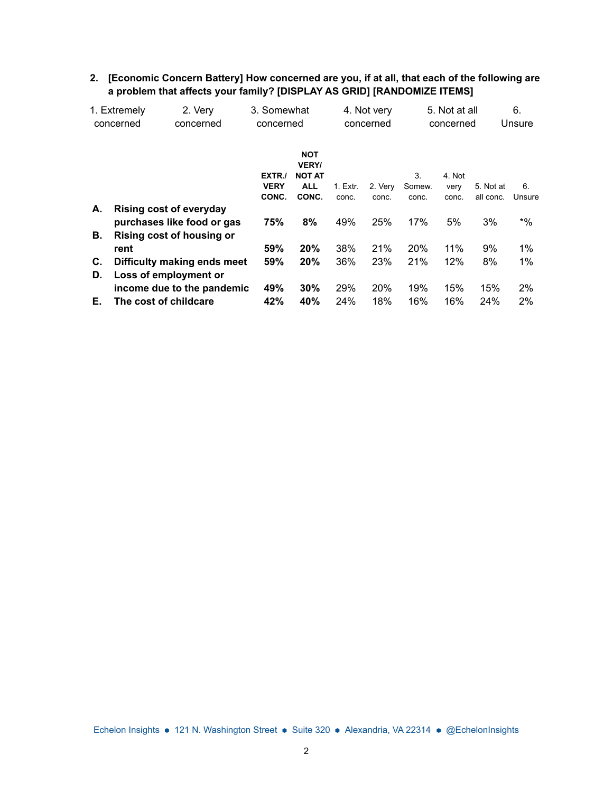|    | 1. Extremely<br>concerned      | 2. Very<br>concerned | 3. Somewhat<br>concerned |                                                           | 4. Not very<br>concerned |         | 5. Not at all<br>concerned |                | 6.<br>Unsure |             |
|----|--------------------------------|----------------------|--------------------------|-----------------------------------------------------------|--------------------------|---------|----------------------------|----------------|--------------|-------------|
|    |                                |                      | EXTR./<br><b>VERY</b>    | <b>NOT</b><br><b>VERY/</b><br><b>NOT AT</b><br><b>ALL</b> | 1. Extr.                 | 2. Very | 3.<br>Somew.               | 4. Not<br>very | 5. Not at    | 6.          |
|    |                                |                      | CONC.                    | CONC.                                                     | conc.                    | conc.   | conc.                      | conc.          | all conc.    | Unsure      |
| А. | <b>Rising cost of everyday</b> |                      |                          |                                                           |                          |         |                            |                |              |             |
|    | purchases like food or gas     |                      | 75%                      | 8%                                                        | 49%                      | 25%     | 17%                        | 5%             | 3%           | $^{\ast}$ % |
| В. | Rising cost of housing or      |                      |                          |                                                           |                          |         |                            |                |              |             |
|    | rent                           |                      | 59%                      | 20%                                                       | 38%                      | 21%     | 20%                        | 11%            | 9%           | 1%          |
| C. | Difficulty making ends meet    |                      | 59%                      | 20%                                                       | 36%                      | 23%     | 21%                        | 12%            | 8%           | 1%          |
| D. | Loss of employment or          |                      |                          |                                                           |                          |         |                            |                |              |             |
|    | income due to the pandemic     |                      | 49%                      | 30%                                                       | 29%                      | 20%     | 19%                        | 15%            | 15%          | 2%          |
| Е. | The cost of childcare          |                      | 42%                      | 40%                                                       | 24%                      | 18%     | 16%                        | 16%            | 24%          | 2%          |

### **2. [Economic Concern Battery] How concerned are you, if at all, that each of the following are a problem that affects your family? [DISPLAY AS GRID] [RANDOMIZE ITEMS]**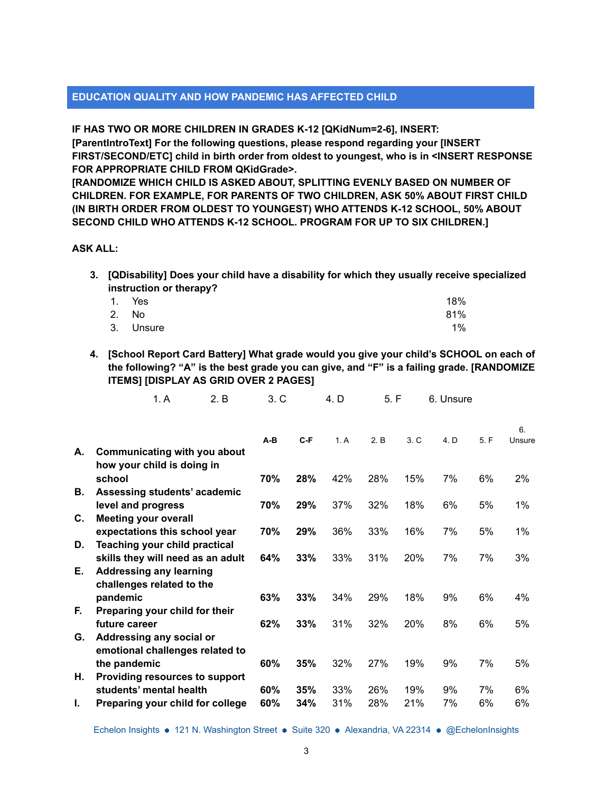## **EDUCATION QUALITY AND HOW PANDEMIC HAS AFFECTED CHILD**

**IF HAS TWO OR MORE CHILDREN IN GRADES K-12 [QKidNum=2-6], INSERT:**

**[ParentIntroText] For the following questions, please respond regarding your [INSERT FIRST/SECOND/ETC] child in birth order from oldest to youngest, who is in <INSERT RESPONSE FOR APPROPRIATE CHILD FROM QKidGrade>.**

**[RANDOMIZE WHICH CHILD IS ASKED ABOUT, SPLITTING EVENLY BASED ON NUMBER OF CHILDREN. FOR EXAMPLE, FOR PARENTS OF TWO CHILDREN, ASK 50% ABOUT FIRST CHILD (IN BIRTH ORDER FROM OLDEST TO YOUNGEST) WHO ATTENDS K-12 SCHOOL, 50% ABOUT SECOND CHILD WHO ATTENDS K-12 SCHOOL. PROGRAM FOR UP TO SIX CHILDREN.]**

### **ASK ALL:**

**3. [QDisability] Does your child have a disability for which they usually receive specialized instruction or therapy?**

|       | 1. Yes    | 18% |
|-------|-----------|-----|
| 2. No |           | 81% |
|       | 3. Unsure | 1%  |

**4. [School Report Card Battery] What grade would you give your child's SCHOOL on each of the following? "A" is the best grade you can give, and "F" is a failing grade. [RANDOMIZE ITEMS] [DISPLAY AS GRID OVER 2 PAGES]**

1. A 2. B 3. C 4. D 5. F 6. Unsure

| А. | Communicating with you about                              | $A-B$ | $C-F$ | 1. A | 2. B | 3. C | 4. D | 5. F | 6.<br>Unsure |
|----|-----------------------------------------------------------|-------|-------|------|------|------|------|------|--------------|
|    | how your child is doing in                                |       |       |      |      |      |      |      |              |
|    | school                                                    | 70%   | 28%   | 42%  | 28%  | 15%  | 7%   | 6%   | $2\%$        |
| В. | Assessing students' academic                              |       | 29%   |      |      |      |      | 5%   | 1%           |
| C. | level and progress<br><b>Meeting your overall</b>         | 70%   |       | 37%  | 32%  | 18%  | 6%   |      |              |
|    | expectations this school year                             | 70%   | 29%   | 36%  | 33%  | 16%  | 7%   | 5%   | 1%           |
| D. | <b>Teaching your child practical</b>                      |       |       |      |      |      |      |      |              |
|    | skills they will need as an adult                         | 64%   | 33%   | 33%  | 31%  | 20%  | 7%   | 7%   | 3%           |
| Е. | <b>Addressing any learning</b>                            |       |       |      |      |      |      |      |              |
|    | challenges related to the<br>pandemic                     | 63%   | 33%   | 34%  | 29%  | 18%  | 9%   | 6%   | 4%           |
| F. | Preparing your child for their                            |       |       |      |      |      |      |      |              |
|    | future career                                             | 62%   | 33%   | 31%  | 32%  | 20%  | 8%   | 6%   | 5%           |
| G. | Addressing any social or                                  |       |       |      |      |      |      |      |              |
|    | emotional challenges related to                           |       |       |      |      |      |      |      |              |
| Η. | the pandemic                                              | 60%   | 35%   | 32%  | 27%  | 19%  | 9%   | 7%   | 5%           |
|    | Providing resources to support<br>students' mental health | 60%   | 35%   | 33%  | 26%  | 19%  | 9%   | 7%   | 6%           |
| ı. | Preparing your child for college                          | 60%   | 34%   | 31%  | 28%  | 21%  | 7%   | 6%   | 6%           |
|    |                                                           |       |       |      |      |      |      |      |              |

Echelon Insights • 121 N. Washington Street • Suite 320 • Alexandria, VA 22314 • @EchelonInsights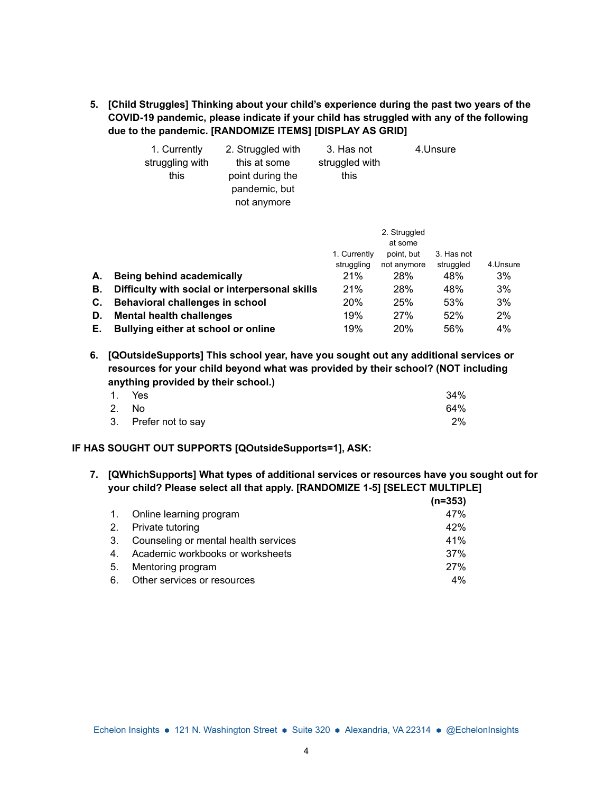**5. [Child Struggles] Thinking about your child's experience during the past two years of the COVID-19 pandemic, please indicate if your child has struggled with any of the following due to the pandemic. [RANDOMIZE ITEMS] [DISPLAY AS GRID]**

| 1. Currently    | 2. Struggled with | 3. Has not     | 4.Unsure |
|-----------------|-------------------|----------------|----------|
| struggling with | this at some      | struggled with |          |
| this            | point during the  | this           |          |
|                 | pandemic, but     |                |          |
|                 | not anymore       |                |          |

|    |                                                | 1. Currently | 2. Struggled<br>at some<br>point, but | 3. Has not |          |
|----|------------------------------------------------|--------------|---------------------------------------|------------|----------|
|    |                                                | struggling   | not anymore                           | struggled  | 4.Unsure |
| А. | Being behind academically                      | 21%          | 28%                                   | 48%        | 3%       |
| В. | Difficulty with social or interpersonal skills | 21%          | 28%                                   | 48%        | 3%       |
| C. | Behavioral challenges in school                | 20%          | 25%                                   | 53%        | 3%       |
| D. | <b>Mental health challenges</b>                | 19%          | 27%                                   | 52%        | 2%       |
| Е. | Bullying either at school or online            | 19%          | 20%                                   | 56%        | 4%       |

**6. [QOutsideSupports] This school year, have you sought out any additional services or resources for your child beyond what was provided by their school? (NOT including anything provided by their school.)**

|       | 1. Yes               | 34%   |
|-------|----------------------|-------|
| 2. No |                      | 64%   |
|       | 3. Prefer not to say | $2\%$ |

### **IF HAS SOUGHT OUT SUPPORTS [QOutsideSupports=1], ASK:**

**7. [QWhichSupports] What types of additional services or resources have you sought out for your child? Please select all that apply. [RANDOMIZE 1-5] [SELECT MULTIPLE]**

|    |                                         | $(n=353)$ |
|----|-----------------------------------------|-----------|
|    | 1. Online learning program              | 47%       |
|    | 2. Private tutoring                     | 42%       |
|    | 3. Counseling or mental health services | 41%       |
|    | 4. Academic workbooks or worksheets     | 37%       |
| 5. | Mentoring program                       | 27%       |
| 6. | Other services or resources             | $4\%$     |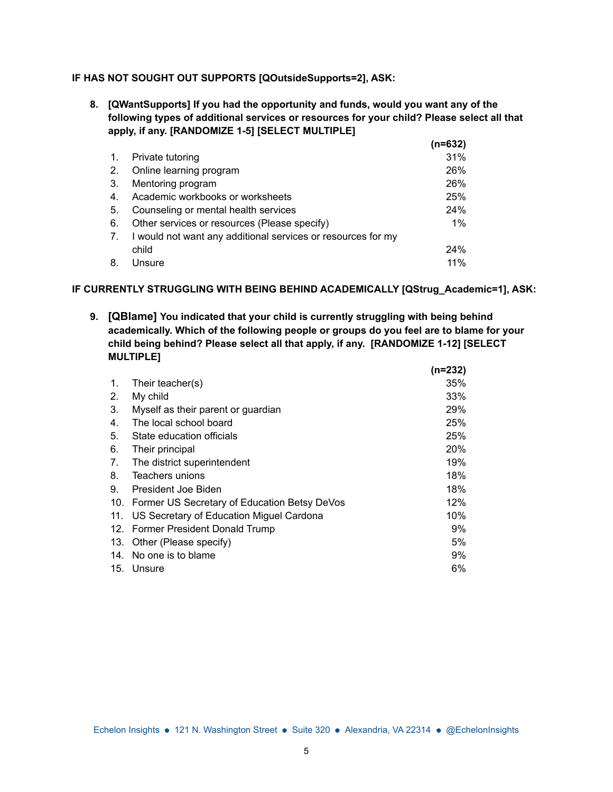### **IF HAS NOT SOUGHT OUT SUPPORTS [QOutsideSupports=2], ASK:**

**8. [QWantSupports] If you had the opportunity and funds, would you want any of the following types of additional services or resources for your child? Please select all that apply, if any. [RANDOMIZE 1-5] [SELECT MULTIPLE]**

|    |                                                              | (n=632) |
|----|--------------------------------------------------------------|---------|
| 1. | Private tutoring                                             | 31%     |
| 2. | Online learning program                                      | 26%     |
| 3. | Mentoring program                                            | 26%     |
| 4. | Academic workbooks or worksheets                             | 25%     |
| 5. | Counseling or mental health services                         | 24%     |
| 6. | Other services or resources (Please specify)                 | $1\%$   |
| 7. | I would not want any additional services or resources for my |         |
|    | child                                                        | 24%     |
| 8. | Unsure                                                       | 11%     |

### **IF CURRENTLY STRUGGLING WITH BEING BEHIND ACADEMICALLY [QStrug\_Academic=1], ASK:**

**9. [QBlame] You indicated that your child is currently struggling with being behind academically. Which of the following people or groups do you feel are to blame for your child being behind? Please select all that apply, if any. [RANDOMIZE 1-12] [SELECT MULTIPLE] (n=232)**

|     |                                              | (n=232) |
|-----|----------------------------------------------|---------|
| 1.  | Their teacher(s)                             | 35%     |
| 2.  | My child                                     | 33%     |
| 3.  | Myself as their parent or guardian           | 29%     |
| 4.  | The local school board                       | 25%     |
| 5.  | State education officials                    | 25%     |
| 6.  | Their principal                              | 20%     |
| 7.  | The district superintendent                  | 19%     |
| 8.  | Teachers unions                              | 18%     |
| 9.  | President Joe Biden                          | 18%     |
| 10. | Former US Secretary of Education Betsy DeVos | 12%     |
| 11. | US Secretary of Education Miguel Cardona     | 10%     |
|     | 12. Former President Donald Trump            | 9%      |
| 13. | Other (Please specify)                       | 5%      |
| 14. | No one is to blame                           | 9%      |
| 15. | Unsure                                       | 6%      |
|     |                                              |         |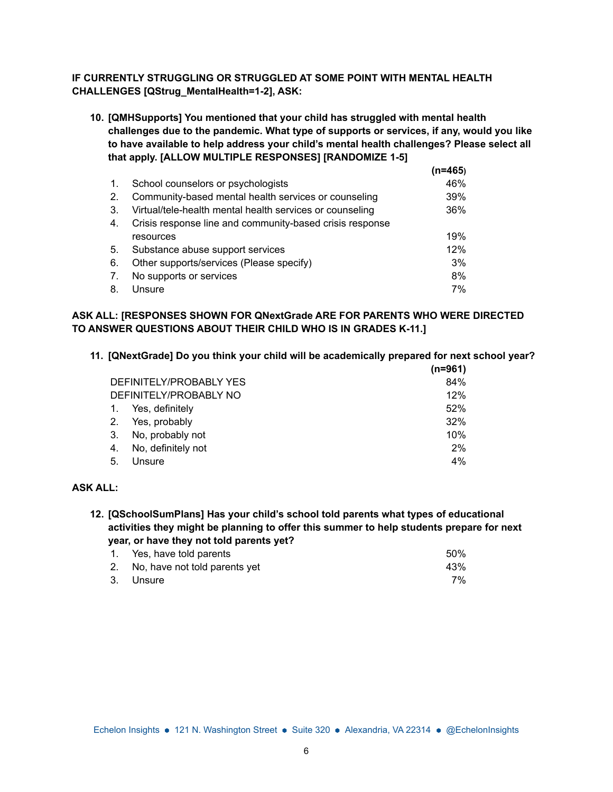### **IF CURRENTLY STRUGGLING OR STRUGGLED AT SOME POINT WITH MENTAL HEALTH CHALLENGES [QStrug\_MentalHealth=1-2], ASK:**

**10. [QMHSupports] You mentioned that your child has struggled with mental health challenges due to the pandemic. What type of supports or services, if any, would you like to have available to help address your child's mental health challenges? Please select all that apply. [ALLOW MULTIPLE RESPONSES] [RANDOMIZE 1-5]**

|    |                                                          | (n=465) |
|----|----------------------------------------------------------|---------|
| 1. | School counselors or psychologists                       | 46%     |
| 2. | Community-based mental health services or counseling     | 39%     |
| 3. | Virtual/tele-health mental health services or counseling | 36%     |
| 4. | Crisis response line and community-based crisis response |         |
|    | resources                                                | 19%     |
| 5. | Substance abuse support services                         | 12%     |
| 6. | Other supports/services (Please specify)                 | 3%      |
| 7. | No supports or services                                  | 8%      |
| 8. | Unsure                                                   | 7%      |

## **ASK ALL: [RESPONSES SHOWN FOR QNextGrade ARE FOR PARENTS WHO WERE DIRECTED TO ANSWER QUESTIONS ABOUT THEIR CHILD WHO IS IN GRADES K-11.]**

**11. [QNextGrade] Do you think your child will be academically prepared for next school year?**

|                         |                        | (n=961) |
|-------------------------|------------------------|---------|
| DEFINITELY/PROBABLY YES |                        | 84%     |
|                         | DEFINITELY/PROBABLY NO | 12%     |
|                         | Yes, definitely        | 52%     |
| 2.                      | Yes, probably          | 32%     |
| -3.                     | No, probably not       | 10%     |
| 4.                      | No, definitely not     | 2%      |
| 5.                      | Unsure                 | 4%      |

## **ASK ALL:**

**12. [QSchoolSumPlans] Has your child's school told parents what types of educational activities they might be planning to offer this summer to help students prepare for next year, or have they not told parents yet?**

| 1. Yes, have told parents        | 50% |
|----------------------------------|-----|
| 2. No, have not told parents yet | 43% |
| 3. Unsure                        | 7%  |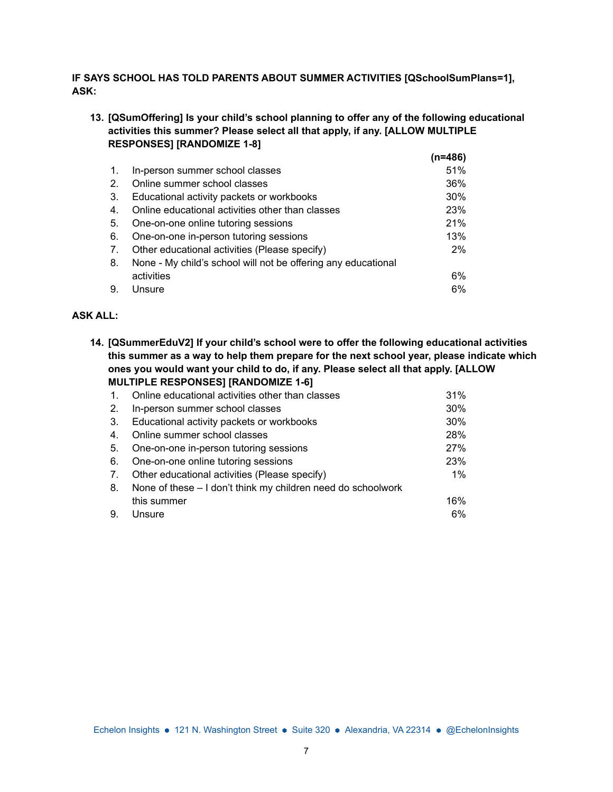## **IF SAYS SCHOOL HAS TOLD PARENTS ABOUT SUMMER ACTIVITIES [QSchoolSumPlans=1], ASK:**

**13. [QSumOffering] Is your child's school planning to offer any of the following educational activities this summer? Please select all that apply, if any. [ALLOW MULTIPLE RESPONSES] [RANDOMIZE 1-8] (n=486)**

|    |                                                               | (N=486) |
|----|---------------------------------------------------------------|---------|
| 1. | In-person summer school classes                               | 51%     |
| 2. | Online summer school classes                                  | 36%     |
| 3. | Educational activity packets or workbooks                     | 30%     |
| 4. | Online educational activities other than classes              | 23%     |
| 5. | One-on-one online tutoring sessions                           | 21%     |
| 6. | One-on-one in-person tutoring sessions                        | 13%     |
| 7. | Other educational activities (Please specify)                 | $2\%$   |
| 8. | None - My child's school will not be offering any educational |         |
|    | activities                                                    | 6%      |
| 9. | Unsure                                                        | 6%      |
|    |                                                               |         |

### **ASK ALL:**

**14. [QSummerEduV2] If your child's school were to offer the following educational activities this summer as a way to help them prepare for the next school year, please indicate which ones you would want your child to do, if any. Please select all that apply. [ALLOW MULTIPLE RESPONSES] [RANDOMIZE 1-6]**

| $\mathbf{1}$ . | Online educational activities other than classes             | 31% |
|----------------|--------------------------------------------------------------|-----|
| 2.             | In-person summer school classes                              | 30% |
| 3.             | Educational activity packets or workbooks                    | 30% |
| 4.             | Online summer school classes                                 | 28% |
| 5.             | One-on-one in-person tutoring sessions                       | 27% |
| 6.             | One-on-one online tutoring sessions                          | 23% |
| 7.             | Other educational activities (Please specify)                | 1%  |
| 8.             | None of these – I don't think my children need do schoolwork |     |
|                | this summer                                                  | 16% |
| 9.             | Unsure                                                       | 6%  |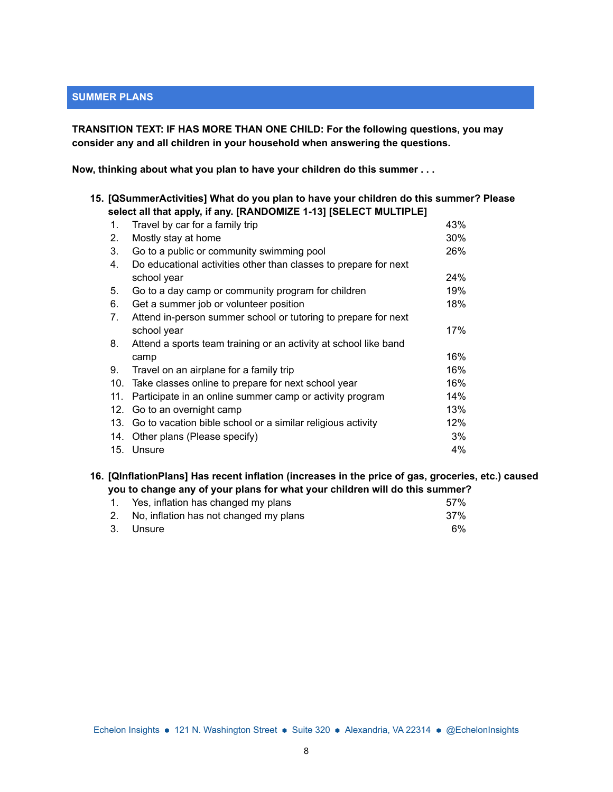## **SUMMER PLANS**

**TRANSITION TEXT: IF HAS MORE THAN ONE CHILD: For the following questions, you may consider any and all children in your household when answering the questions.**

**Now, thinking about what you plan to have your children do this summer . . .**

| 15. [QSummerActivities] What do you plan to have your children do this summer? Please<br>select all that apply, if any. [RANDOMIZE 1-13] [SELECT MULTIPLE] |                                                                  |     |  |
|------------------------------------------------------------------------------------------------------------------------------------------------------------|------------------------------------------------------------------|-----|--|
| 1.                                                                                                                                                         | Travel by car for a family trip                                  | 43% |  |
| 2.                                                                                                                                                         | Mostly stay at home                                              | 30% |  |
| 3.                                                                                                                                                         | Go to a public or community swimming pool                        | 26% |  |
| 4.                                                                                                                                                         | Do educational activities other than classes to prepare for next |     |  |
|                                                                                                                                                            | school year                                                      | 24% |  |
| 5.                                                                                                                                                         | Go to a day camp or community program for children               | 19% |  |
| 6.                                                                                                                                                         | Get a summer job or volunteer position                           | 18% |  |
| 7.                                                                                                                                                         | Attend in-person summer school or tutoring to prepare for next   |     |  |
|                                                                                                                                                            | school year                                                      | 17% |  |
| 8.                                                                                                                                                         | Attend a sports team training or an activity at school like band |     |  |
|                                                                                                                                                            | camp                                                             | 16% |  |
| 9.                                                                                                                                                         | Travel on an airplane for a family trip                          | 16% |  |
|                                                                                                                                                            | 10. Take classes online to prepare for next school year          | 16% |  |
| 11.                                                                                                                                                        | Participate in an online summer camp or activity program         | 14% |  |
| 12.                                                                                                                                                        | Go to an overnight camp                                          | 13% |  |
|                                                                                                                                                            | 13. Go to vacation bible school or a similar religious activity  | 12% |  |
| 14.                                                                                                                                                        | Other plans (Please specify)                                     | 3%  |  |
|                                                                                                                                                            | 15. Unsure                                                       | 4%  |  |

**16. [QInflationPlans] Has recent inflation (increases in the price of gas, groceries, etc.) caused you to change any of your plans for what your children will do this summer?**

| 1. Yes, inflation has changed my plans    | .57% |
|-------------------------------------------|------|
| 2. No, inflation has not changed my plans | 37%  |
| 3. Unsure                                 | 6%   |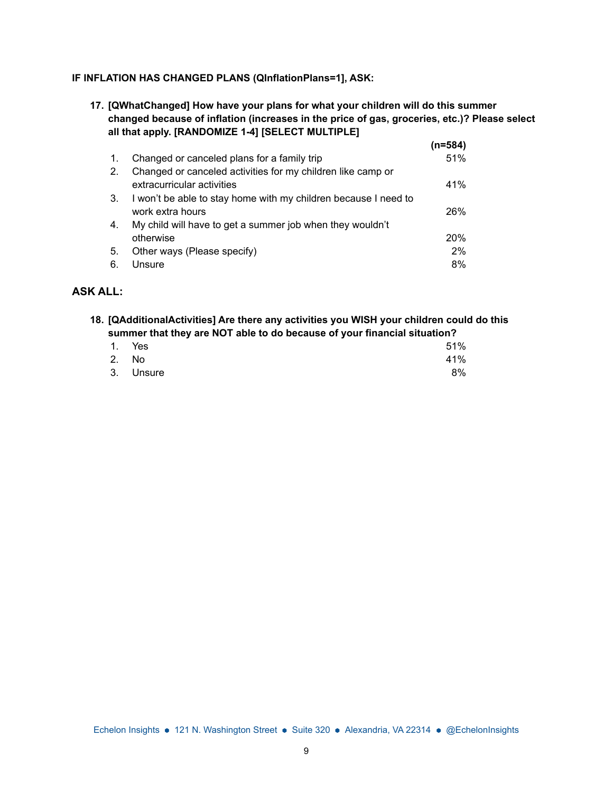### **IF INFLATION HAS CHANGED PLANS (QInflationPlans=1], ASK:**

**17. [QWhatChanged] How have your plans for what your children will do this summer changed because of inflation (increases in the price of gas, groceries, etc.)? Please select all that apply. [RANDOMIZE 1-4] [SELECT MULTIPLE]**

|                |                                                                 | (n=584) |
|----------------|-----------------------------------------------------------------|---------|
| $\mathbf{1}$ . | Changed or canceled plans for a family trip                     | 51%     |
| 2.             | Changed or canceled activities for my children like camp or     |         |
|                | extracurricular activities                                      | 41%     |
| 3.             | I won't be able to stay home with my children because I need to |         |
|                | work extra hours                                                | 26%     |
| 4.             | My child will have to get a summer job when they wouldn't       |         |
|                | otherwise                                                       | 20%     |
| 5.             | Other ways (Please specify)                                     | 2%      |
| 6.             | Unsure                                                          | 8%      |

### **ASK ALL:**

**18. [QAdditionalActivities] Are there any activities you WISH your children could do this summer that they are NOT able to do because of your financial situation?**

|       | 1. Yes    | 51% |
|-------|-----------|-----|
| 2. No |           | 41% |
|       | 3. Unsure | 8%  |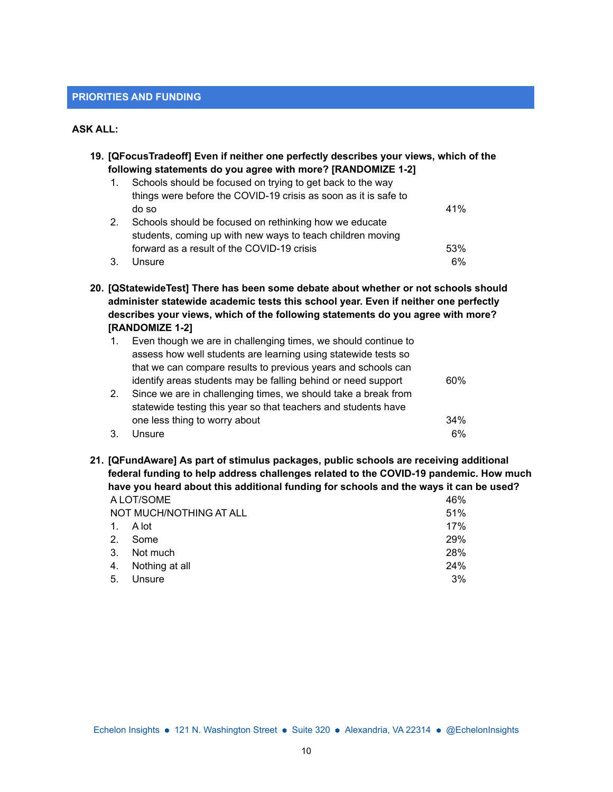#### **PRIORITIES AND FUNDING**

#### **ASK ALL:**

**19. [QFocusTradeoff] Even if neither one perfectly describes your views, which of the following statements do you agree with more? [RANDOMIZE 1-2]**

| $\mathbf{1}$ . | Schools should be focused on trying to get back to the way      |     |
|----------------|-----------------------------------------------------------------|-----|
|                | things were before the COVID-19 crisis as soon as it is safe to |     |
|                | do so                                                           | 41% |
| 2.             | Schools should be focused on rethinking how we educate          |     |
|                | students, coming up with new ways to teach children moving      |     |
|                | forward as a result of the COVID-19 crisis                      | 53% |
| 3.             | Unsure                                                          | 6%  |

**20. [QStatewideTest] There has been some debate about whether or not schools should administer statewide academic tests this school year. Even if neither one perfectly describes your views, which of the following statements do you agree with more? [RANDOMIZE 1-2]**

|    | Even though we are in challenging times, we should continue to |     |
|----|----------------------------------------------------------------|-----|
|    | assess how well students are learning using statewide tests so |     |
|    | that we can compare results to previous years and schools can  |     |
|    | identify areas students may be falling behind or need support  | 60% |
| 2. | Since we are in challenging times, we should take a break from |     |
|    | statewide testing this year so that teachers and students have |     |
|    | one less thing to worry about                                  | 34% |
|    | Unsure                                                         | 6%  |

**21. [QFundAware] As part of stimulus packages, public schools are receiving additional federal funding to help address challenges related to the COVID-19 pandemic. How much have you heard about this additional funding for schools and the ways it can be used?** A LOT/SOME 46%

|         | NOT MUCH/NOTHING AT ALL | 51% |
|---------|-------------------------|-----|
| $1_{-}$ | A lot                   | 17% |
| 2.      | Some                    | 29% |
| 3.      | Not much                | 28% |
|         | 4. Nothing at all       | 24% |
| 5.      | Unsure                  | 3%  |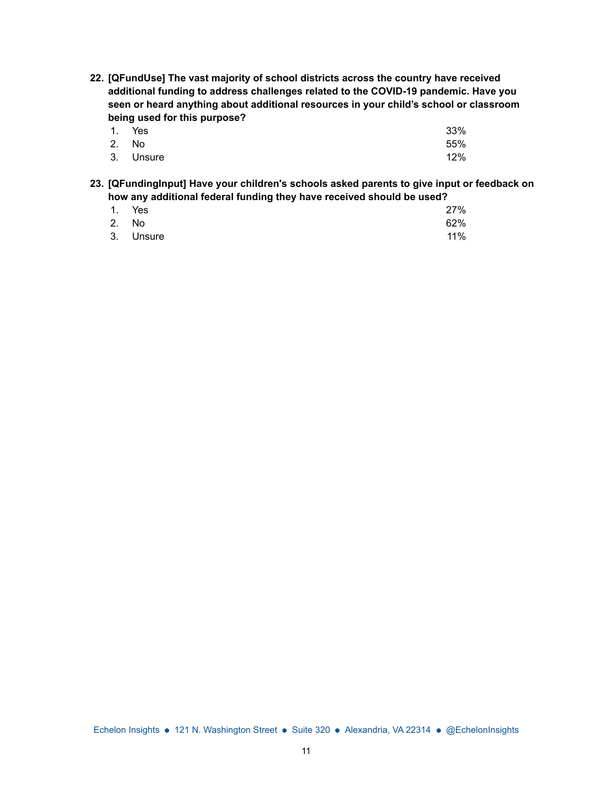**22. [QFundUse] The vast majority of school districts across the country have received additional funding to address challenges related to the COVID-19 pandemic. Have you seen or heard anything about additional resources in your child's school or classroom being used for this purpose?**

|       | 1. Yes    | 33% |
|-------|-----------|-----|
| 2. No |           | 55% |
|       | 3. Unsure | 12% |

**23. [QFundingInput] Have your children's schools asked parents to give input or feedback on how any additional federal funding they have received should be used?**

|       | 1. Yes    | 27% |
|-------|-----------|-----|
| 2. No |           | 62% |
|       | 3. Unsure | 11% |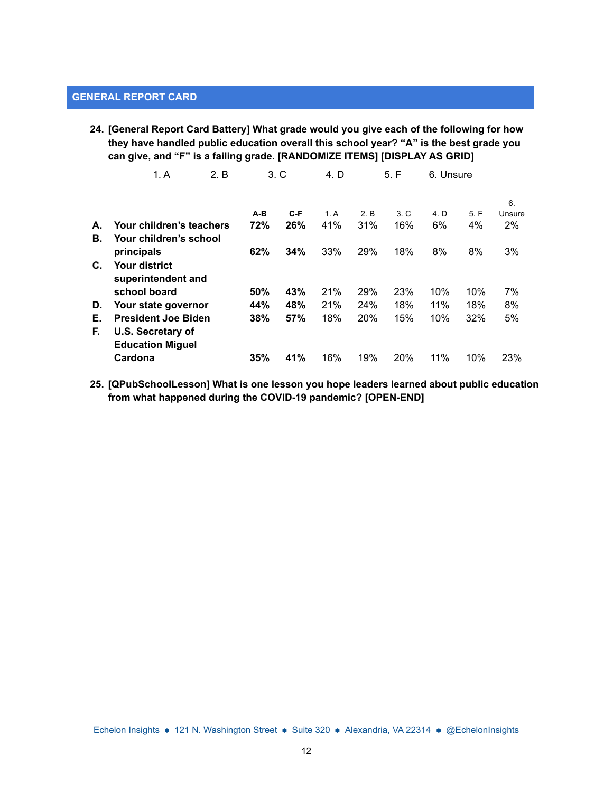# **GENERAL REPORT CARD**

**24. [General Report Card Battery] What grade would you give each of the following for how they have handled public education overall this school year? "A" is the best grade you can give, and "F" is a failing grade. [RANDOMIZE ITEMS] [DISPLAY AS GRID]**

|    | 1. A                       | 2. B |     | 3. C | 4. D |      | 5. F | 6. Unsure |      |        |
|----|----------------------------|------|-----|------|------|------|------|-----------|------|--------|
|    |                            |      |     |      |      |      |      |           |      | 6.     |
|    |                            |      | A-B | C-F  | 1.A  | 2. B | 3. C | 4. D      | 5. F | Unsure |
| А. | Your children's teachers   |      | 72% | 26%  | 41%  | 31%  | 16%  | 6%        | 4%   | 2%     |
| В. | Your children's school     |      |     |      |      |      |      |           |      |        |
|    | principals                 |      | 62% | 34%  | 33%  | 29%  | 18%  | 8%        | 8%   | 3%     |
| C. | <b>Your district</b>       |      |     |      |      |      |      |           |      |        |
|    | superintendent and         |      |     |      |      |      |      |           |      |        |
|    | school board               |      | 50% | 43%  | 21%  | 29%  | 23%  | 10%       | 10%  | 7%     |
| D. | Your state governor        |      | 44% | 48%  | 21%  | 24%  | 18%  | 11%       | 18%  | 8%     |
| Е. | <b>President Joe Biden</b> |      | 38% | 57%  | 18%  | 20%  | 15%  | 10%       | 32%  | 5%     |
| F. | U.S. Secretary of          |      |     |      |      |      |      |           |      |        |
|    | <b>Education Miguel</b>    |      |     |      |      |      |      |           |      |        |
|    | Cardona                    |      | 35% | 41%  | 16%  | 19%  | 20%  | 11%       | 10%  | 23%    |

**25. [QPubSchoolLesson] What is one lesson you hope leaders learned about public education from what happened during the COVID-19 pandemic? [OPEN-END]**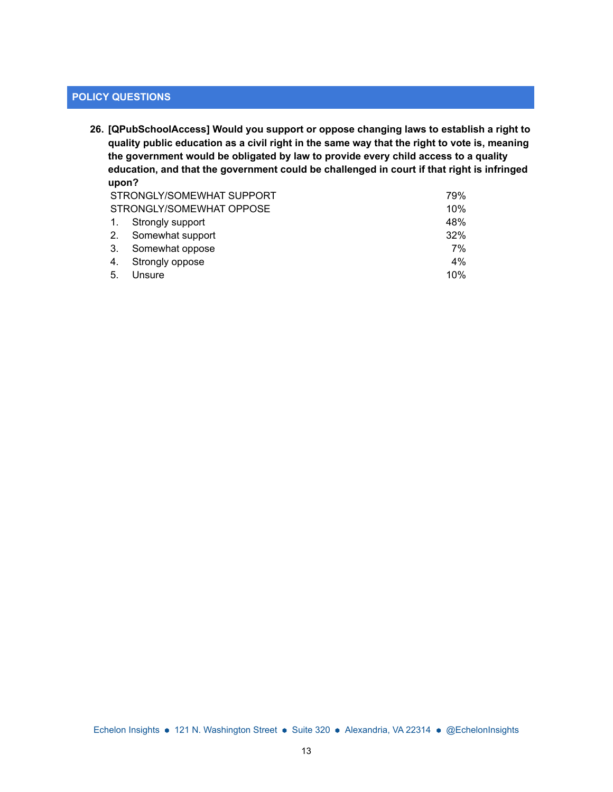# **POLICY QUESTIONS**

**26. [QPubSchoolAccess] Would you support or oppose changing laws to establish a right to quality public education as a civil right in the same way that the right to vote is, meaning the government would be obligated by law to provide every child access to a quality education, and that the government could be challenged in court if that right is infringed upon?**

|                | STRONGLY/SOMEWHAT SUPPORT<br>79% |     |  |  |
|----------------|----------------------------------|-----|--|--|
|                | STRONGLY/SOMEWHAT OPPOSE         | 10% |  |  |
| $\mathbf{1}$ . | Strongly support                 | 48% |  |  |
| 2.             | Somewhat support                 | 32% |  |  |
| -3.            | Somewhat oppose                  | 7%  |  |  |
| 4.             | Strongly oppose                  | 4%  |  |  |
| 5.             | Unsure                           | 10% |  |  |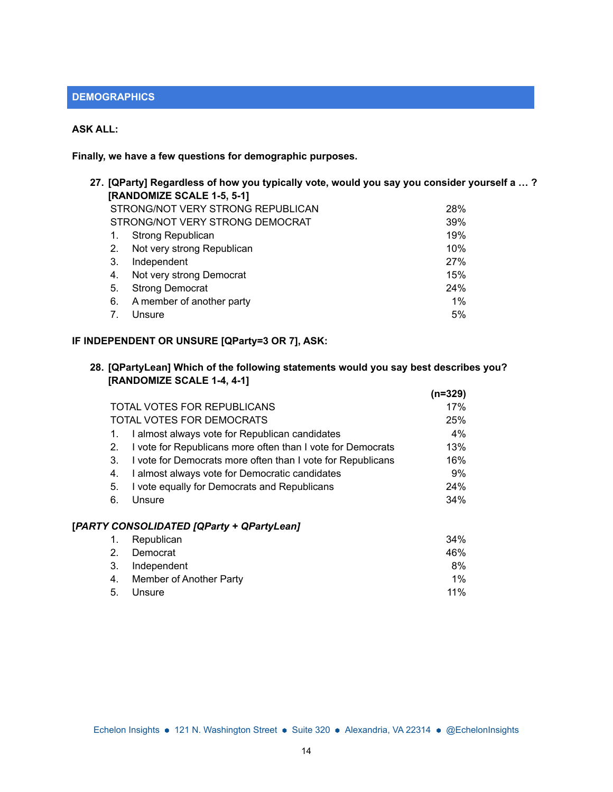## **DEMOGRAPHICS**

## **ASK ALL:**

**Finally, we have a few questions for demographic purposes.**

| 27. [QParty] Regardless of how you typically vote, would you say you consider yourself a … ? |                                 |       |  |  |  |  |
|----------------------------------------------------------------------------------------------|---------------------------------|-------|--|--|--|--|
|                                                                                              | [RANDOMIZE SCALE 1-5, 5-1]      |       |  |  |  |  |
| STRONG/NOT VERY STRONG REPUBLICAN<br>28%                                                     |                                 |       |  |  |  |  |
|                                                                                              | STRONG/NOT VERY STRONG DEMOCRAT | 39%   |  |  |  |  |
| 1.                                                                                           | Strong Republican               | 19%   |  |  |  |  |
| 2.                                                                                           | Not very strong Republican      | 10%   |  |  |  |  |
| 3.                                                                                           | Independent                     | 27%   |  |  |  |  |
| 4.                                                                                           | Not very strong Democrat        | 15%   |  |  |  |  |
| 5.                                                                                           | <b>Strong Democrat</b>          | 24%   |  |  |  |  |
| 6.                                                                                           | A member of another party       | $1\%$ |  |  |  |  |
|                                                                                              | Unsure                          | 5%    |  |  |  |  |
|                                                                                              |                                 |       |  |  |  |  |

# **IF INDEPENDENT OR UNSURE [QParty=3 OR 7], ASK:**

### **28. [QPartyLean] Which of the following statements would you say best describes you? [RANDOMIZE SCALE 1-4, 4-1]**

|    |                                                             | (n=329) |
|----|-------------------------------------------------------------|---------|
|    | TOTAL VOTES FOR REPUBLICANS                                 | 17%     |
|    | TOTAL VOTES FOR DEMOCRATS                                   | 25%     |
|    | I almost always vote for Republican candidates              | 4%      |
| 2. | I vote for Republicans more often than I vote for Democrats | 13%     |
| 3. | I vote for Democrats more often than I vote for Republicans | 16%     |
| 4. | I almost always vote for Democratic candidates              | 9%      |
| 5. | I vote equally for Democrats and Republicans                | 24%     |
| 6. | Unsure                                                      | 34%     |
|    | [PARTY CONSOLIDATED [QParty + QPartyLean]                   |         |
|    | Republican                                                  | 34%     |
| 2. | Democrat                                                    | 46%     |

| 3. Independent             | 8%     |
|----------------------------|--------|
| 4. Member of Another Party | $1\%$  |
| 5. Unsure                  | $11\%$ |
|                            |        |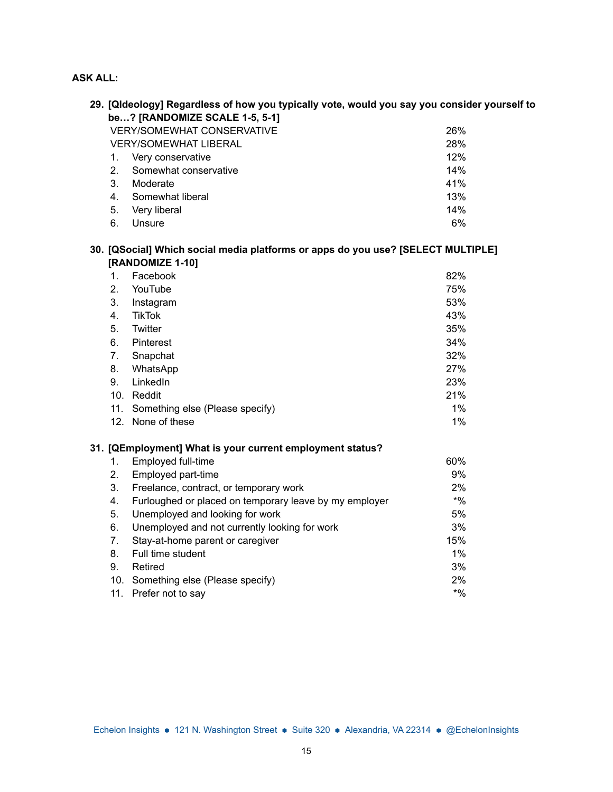# **ASK ALL:**

|                                     | 29. [Qldeology] Regardless of how you typically vote, would you say you consider yourself to<br>be? [RANDOMIZE SCALE 1-5, 5-1] |        |  |  |  |  |
|-------------------------------------|--------------------------------------------------------------------------------------------------------------------------------|--------|--|--|--|--|
|                                     | <b>VERY/SOMEWHAT CONSERVATIVE</b><br>26%                                                                                       |        |  |  |  |  |
| 28%<br><b>VERY/SOMEWHAT LIBERAL</b> |                                                                                                                                |        |  |  |  |  |
| 1.                                  | Very conservative                                                                                                              | 12%    |  |  |  |  |
| 2.                                  | Somewhat conservative                                                                                                          | 14%    |  |  |  |  |
| 3.                                  | Moderate                                                                                                                       | 41%    |  |  |  |  |
| 4.                                  | Somewhat liberal                                                                                                               | 13%    |  |  |  |  |
| 5.                                  | Very liberal                                                                                                                   | 14%    |  |  |  |  |
| 6.                                  | Unsure                                                                                                                         | 6%     |  |  |  |  |
|                                     | 30. [QSocial] Which social media platforms or apps do you use? [SELECT MULTIPLE]<br>[RANDOMIZE 1-10]                           |        |  |  |  |  |
| 1.                                  | Facebook                                                                                                                       | 82%    |  |  |  |  |
| 2.                                  | YouTube                                                                                                                        | 75%    |  |  |  |  |
| 3.                                  | Instagram                                                                                                                      | 53%    |  |  |  |  |
| 4.                                  | <b>TikTok</b>                                                                                                                  | 43%    |  |  |  |  |
| 5.                                  | Twitter                                                                                                                        | 35%    |  |  |  |  |
| 6.                                  | Pinterest                                                                                                                      | 34%    |  |  |  |  |
| 7.                                  | Snapchat                                                                                                                       | 32%    |  |  |  |  |
| 8.                                  | WhatsApp                                                                                                                       | 27%    |  |  |  |  |
| 9.                                  | LinkedIn                                                                                                                       | 23%    |  |  |  |  |
|                                     | 10. Reddit                                                                                                                     | 21%    |  |  |  |  |
|                                     | 11. Something else (Please specify)                                                                                            | 1%     |  |  |  |  |
|                                     | 12. None of these                                                                                                              | 1%     |  |  |  |  |
|                                     | 31. [QEmployment] What is your current employment status?                                                                      |        |  |  |  |  |
| 1.                                  | Employed full-time                                                                                                             | 60%    |  |  |  |  |
| 2.                                  | Employed part-time                                                                                                             | 9%     |  |  |  |  |
| 3.                                  | Freelance, contract, or temporary work                                                                                         | 2%     |  |  |  |  |
| 4.                                  | Furloughed or placed on temporary leave by my employer                                                                         | $*9/0$ |  |  |  |  |
| 5.                                  | Unemployed and looking for work                                                                                                | 5%     |  |  |  |  |
| 6.                                  | Unemployed and not currently looking for work                                                                                  | 3%     |  |  |  |  |
| 7.                                  | Stay-at-home parent or caregiver                                                                                               | 15%    |  |  |  |  |
| 8.                                  | Full time student                                                                                                              | 1%     |  |  |  |  |
| 9.                                  | Retired                                                                                                                        | 3%     |  |  |  |  |
|                                     | 10. Something else (Please specify)                                                                                            | 2%     |  |  |  |  |
|                                     | 11. Prefer not to say                                                                                                          | $*9/0$ |  |  |  |  |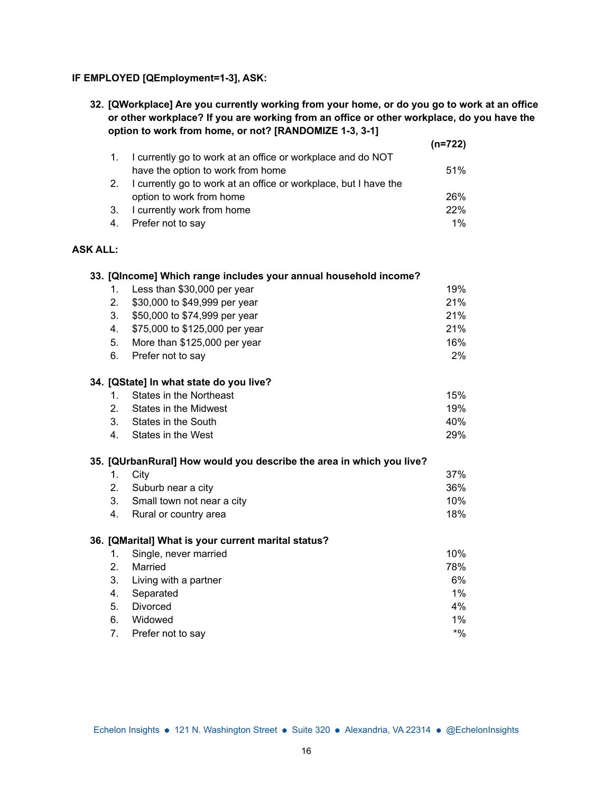### **IF EMPLOYED [QEmployment=1-3], ASK:**

**32. [QWorkplace] Are you currently working from your home, or do you go to work at an office or other workplace? If you are working from an office or other workplace, do you have the option to work from home, or not? [RANDOMIZE 1-3, 3-1]**

|                 |    |                                                                      | $(n=722)$ |
|-----------------|----|----------------------------------------------------------------------|-----------|
|                 | 1. | I currently go to work at an office or workplace and do NOT          |           |
|                 |    | have the option to work from home                                    | 51%       |
|                 | 2. | I currently go to work at an office or workplace, but I have the     |           |
|                 |    | option to work from home                                             | 26%       |
|                 | 3. | I currently work from home                                           | 22%       |
|                 | 4. | Prefer not to say                                                    | 1%        |
| <b>ASK ALL:</b> |    |                                                                      |           |
|                 |    | 33. [QIncome] Which range includes your annual household income?     |           |
|                 | 1. | Less than \$30,000 per year                                          | 19%       |
|                 | 2. | \$30,000 to \$49,999 per year                                        | 21%       |
|                 | 3. | \$50,000 to \$74,999 per year                                        | 21%       |
|                 | 4. | \$75,000 to \$125,000 per year                                       | 21%       |
|                 | 5. | More than \$125,000 per year                                         | 16%       |
|                 | 6. | Prefer not to say                                                    | 2%        |
|                 |    | 34. [QState] In what state do you live?                              |           |
|                 | 1. | <b>States in the Northeast</b>                                       | 15%       |
|                 | 2. | States in the Midwest                                                | 19%       |
|                 | 3. | States in the South                                                  | 40%       |
|                 | 4. | States in the West                                                   | 29%       |
|                 |    | 35. [QUrbanRural] How would you describe the area in which you live? |           |
|                 | 1. | City                                                                 | 37%       |
|                 | 2. | Suburb near a city                                                   | 36%       |
|                 | 3. | Small town not near a city                                           | 10%       |
|                 | 4. | Rural or country area                                                | 18%       |
|                 |    | 36. [QMarital] What is your current marital status?                  |           |
|                 | 1. | Single, never married                                                | 10%       |
|                 | 2. | Married                                                              | 78%       |
|                 | 3. | Living with a partner                                                | 6%        |
|                 | 4. | Separated                                                            | $1\%$     |
|                 | 5. | Divorced                                                             | 4%        |
|                 | 6. | Widowed                                                              | 1%        |
|                 | 7. | Prefer not to say                                                    | $*9/0$    |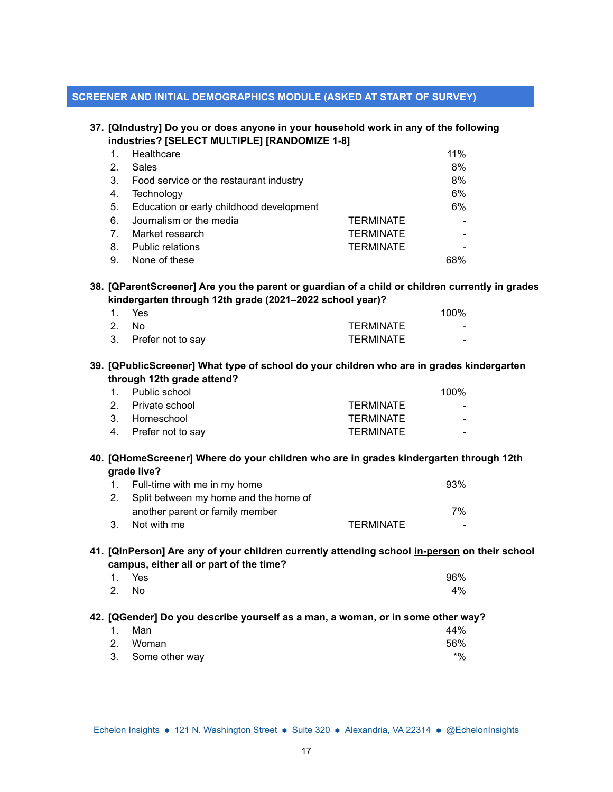### **SCREENER AND INITIAL DEMOGRAPHICS MODULE (ASKED AT START OF SURVEY)**

#### **37. [QIndustry] Do you or does anyone in your household work in any of the following industries? [SELECT MULTIPLE] [RANDOMIZE 1-8]**

| $\mathbf{1}$ . | Healthcare                               |                  | 11% |
|----------------|------------------------------------------|------------------|-----|
| $\mathbf{2}$   | Sales                                    |                  | 8%  |
| 3.             | Food service or the restaurant industry  |                  | 8%  |
| 4.             | Technology                               |                  | 6%  |
| 5.             | Education or early childhood development |                  | 6%  |
| 6.             | Journalism or the media                  | <b>TERMINATE</b> |     |
| 7 <sub>1</sub> | Market research                          | <b>TERMINATE</b> |     |
| 8.             | <b>Public relations</b>                  | <b>TERMINATE</b> |     |
| 9.             | None of these                            |                  | 68% |

### **38. [QParentScreener] Are you the parent or guardian of a child or children currently in grades kindergarten through 12th grade (2021–2022 school year)?**

| 1. Yes               |                  | 100%                     |
|----------------------|------------------|--------------------------|
| 2. No                | <b>TERMINATE</b> | $\overline{\phantom{0}}$ |
| 3. Prefer not to say | <b>TERMINATE</b> | $\overline{\phantom{0}}$ |

### **39. [QPublicScreener] What type of school do your children who are in grades kindergarten through 12th grade attend?**

| 1. Public school     |                  | 100% |
|----------------------|------------------|------|
| 2. Private school    | <b>TERMINATE</b> |      |
| 3. Homeschool        | <b>TERMINATE</b> |      |
| 4. Prefer not to say | <b>TERMINATE</b> |      |

### **40. [QHomeScreener] Where do your children who are in grades kindergarten through 12th grade live?**

|    | 1. Full-time with me in my home          |                  | 93% |
|----|------------------------------------------|------------------|-----|
|    | 2. Split between my home and the home of |                  |     |
|    | another parent or family member          |                  | 7%  |
| 3. | Not with me                              | <b>TERMINATE</b> |     |

### **41. [QInPerson] Are any of your children currently attending school in-person on their school campus, either all or part of the time?**

|       | 1. Yes | 96% |
|-------|--------|-----|
| 2. No |        | 4%  |

#### **42. [QGender] Do you describe yourself as a man, a woman, or in some other way?**

| 1. Man            | 44% |
|-------------------|-----|
| 2. Woman          | 56% |
| 3. Some other way | *%  |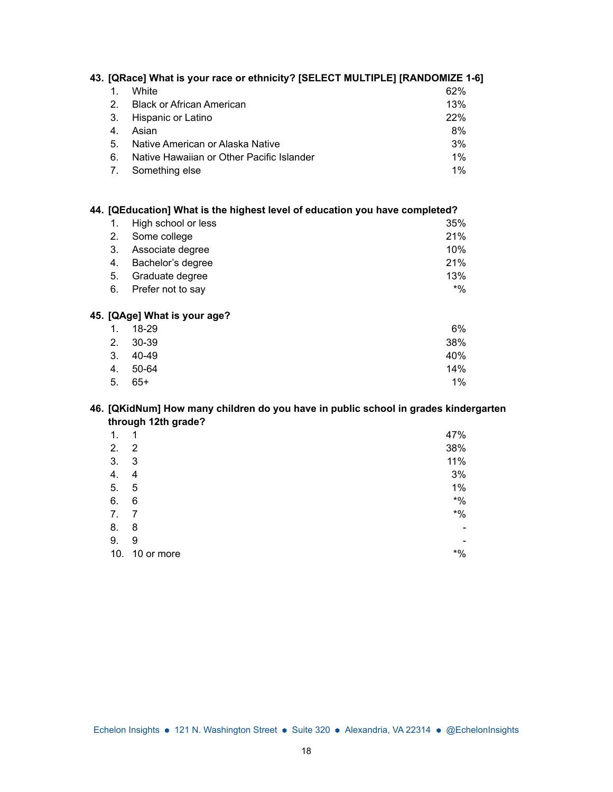| 43. [QRace] What is your race or ethnicity? [SELECT MULTIPLE] [RANDOMIZE 1-6] |                                           |     |  |
|-------------------------------------------------------------------------------|-------------------------------------------|-----|--|
| 1.                                                                            | White                                     | 62% |  |
| 2                                                                             | <b>Black or African American</b>          | 13% |  |
| 3.                                                                            | Hispanic or Latino                        | 22% |  |
| 4.                                                                            | Asian                                     | 8%  |  |
| 5.                                                                            | Native American or Alaska Native          | 3%  |  |
| 6.                                                                            | Native Hawaiian or Other Pacific Islander | 1%  |  |
|                                                                               | Something else                            | 1%  |  |

# **44. [QEducation] What is the highest level of education you have completed?**

| 1. High school or less | 35%   |
|------------------------|-------|
| 2. Some college        | 21%   |
| 3. Associate degree    | 10%   |
| 4. Bachelor's degree   | 21%   |
| 5. Graduate degree     | 13%   |
| 6. Prefer not to say   | $*$ % |

# **45. [QAge] What is your age?**

|    | 1. 18-29 | 6%    |
|----|----------|-------|
|    | 2. 30-39 | 38%   |
|    | 3. 40-49 | 40%   |
|    | 4. 50-64 | 14%   |
| 5. | 65+      | $1\%$ |

# **46. [QKidNum] How many children do you have in public school in grades kindergarten through 12th grade?**

| 1.  | 1          | 47%    |
|-----|------------|--------|
| 2.  | 2          | 38%    |
| 3.  | 3          | 11%    |
| 4.  | 4          | 3%     |
| 5.  | 5          | $1\%$  |
| 6.  | 6          | $*9/0$ |
| 7.  | 7          | $*9/6$ |
| 8.  | 8          |        |
| 9.  | 9          |        |
| 10. | 10 or more | $*9/6$ |